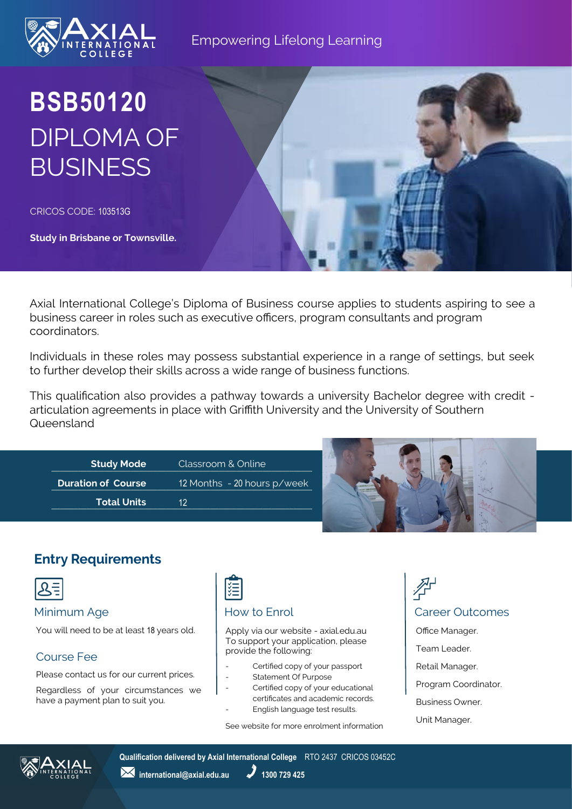

# **BSB50120** DIPLOMA OF **BUSINESS**

CRICOS CODE: 103513G

**Study in Brisbane or Townsville.**

Axial International College's Diploma of Business course applies to students aspiring to see a business career in roles such as executive officers, program consultants and program coordinators.

Individuals in these roles may possess substantial experience in a range of settings, but seek to further develop their skills across a wide range of business functions.

This qualification also provides a pathway towards a university Bachelor degree with credit articulation agreements in place with Griffith University and the University of Southern Queensland

| <b>Study Mode</b>         | Classroom & Online          |  |
|---------------------------|-----------------------------|--|
| <b>Duration of Course</b> | 12 Months - 20 hours p/week |  |
| <b>Total Units</b>        | 12                          |  |
|                           |                             |  |

# **Entry Requirements**



You will need to be at least 18 years old.

### Course Fee

Please contact us for our current prices.

Regardless of your circumstances we have a payment plan to suit you.

# 隓

Apply via our website - axial.edu.au To support your application, please provide the following:

- Certified copy of your passport
- Statement Of Purpose
- Certified copy of your educational certificates and academic records.
- English language test results.

See website for more enrolment information

# Minimum Age **How to Enrol** How to Enrol **Career Outcomes** Office Manager. Team Leader. Retail Manager. Program Coordinator. Business Owner.





**Qualification delivered by Axial International College** RTO 2437 CRICOS 03452C

**1300 729 425** international@axial.edu.au 1300 729 425